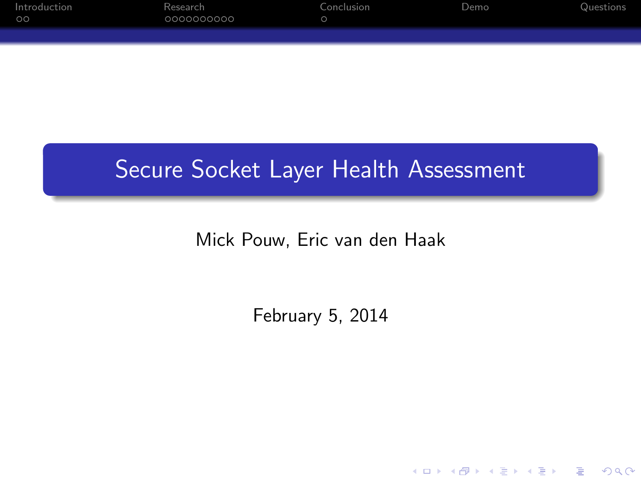| Introduction<br>$\circ$ | Research<br>0000000000 | Conclusion | Demo | Questions |
|-------------------------|------------------------|------------|------|-----------|
|                         |                        |            |      |           |

## Secure Socket Layer Health Assessment

Mick Pouw, Eric van den Haak

February 5, 2014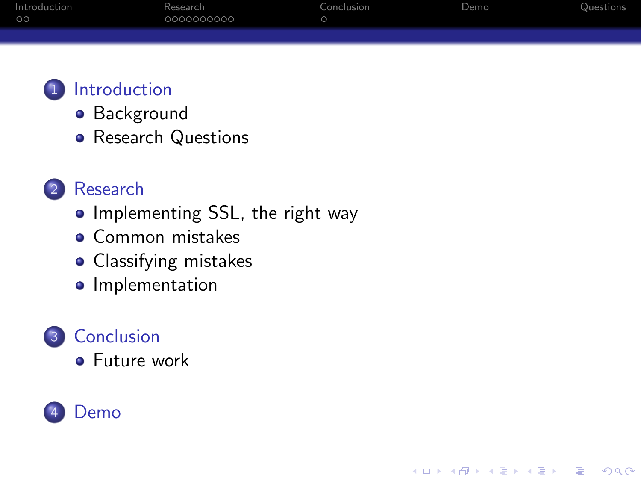| Introduction | Research   | Conclusion | Demo | Questions |
|--------------|------------|------------|------|-----------|
| ററ           | 0000000000 |            |      |           |
|              |            |            |      |           |

**KORK STRAIN A BAR SHOP** 



- **•** [Background](#page-2-0)
- [Research Questions](#page-3-0)
- 2 [Research](#page-4-0)
	- [Implementing SSL, the right way](#page-4-0)
	- **o** [Common mistakes](#page-8-0)
	- [Classifying mistakes](#page-9-0)
	- **·** [Implementation](#page-12-0)



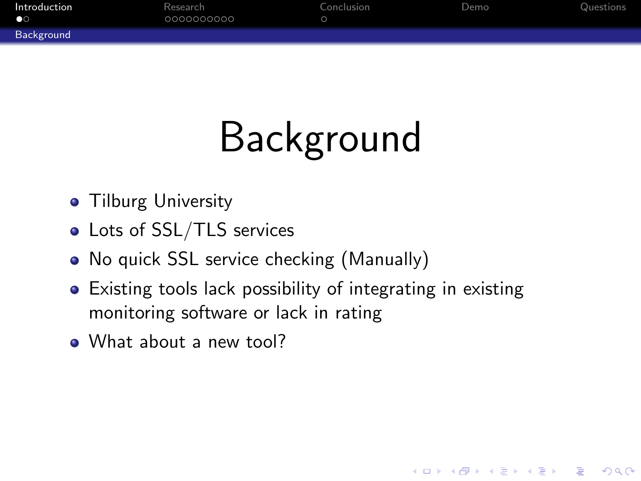| Introduction | Research   | Conclusion | Demo | Questions |
|--------------|------------|------------|------|-----------|
| $\bullet$    | 0000000000 |            |      |           |
| Background   |            |            |      |           |

# Background

- **Tilburg University**
- Lots of SSL/TLS services
- No quick SSL service checking (Manually)
- Existing tools lack possibility of integrating in existing monitoring software or lack in rating

**KORK ERKER ADE YOUR** 

<span id="page-2-0"></span>• What about a new tool?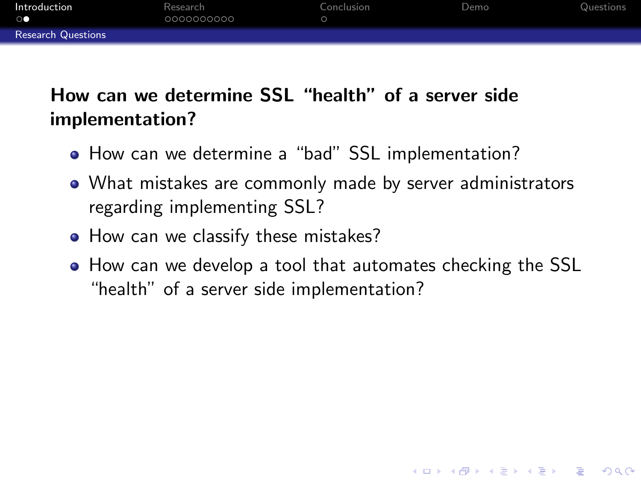| Introduction<br>$\circ$   | Research<br>0000000000 | Conclusion | Demo | Questions |
|---------------------------|------------------------|------------|------|-----------|
| <b>Research Questions</b> |                        |            |      |           |

#### How can we determine SSL "health" of a server side implementation?

- How can we determine a "bad" SSL implementation?
- What mistakes are commonly made by server administrators regarding implementing SSL?
- How can we classify these mistakes?
- <span id="page-3-0"></span>How can we develop a tool that automates checking the SSL "health" of a server side implementation?

**KORK ERKER ADE YOUR**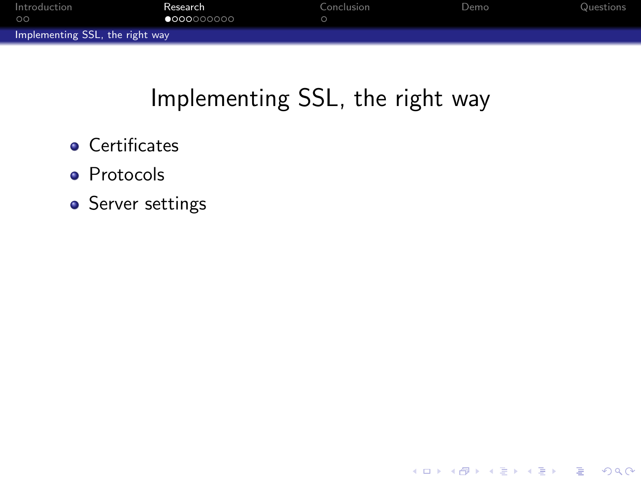| Introduction                    | Research            | Conclusion | Demo | Questions |
|---------------------------------|---------------------|------------|------|-----------|
| ററ                              | $\bullet$ 000000000 |            |      |           |
| Implementing SSL, the right way |                     |            |      |           |

## Implementing SSL, the right way

- **•** Certificates
- **•** Protocols
- <span id="page-4-0"></span>**•** Server settings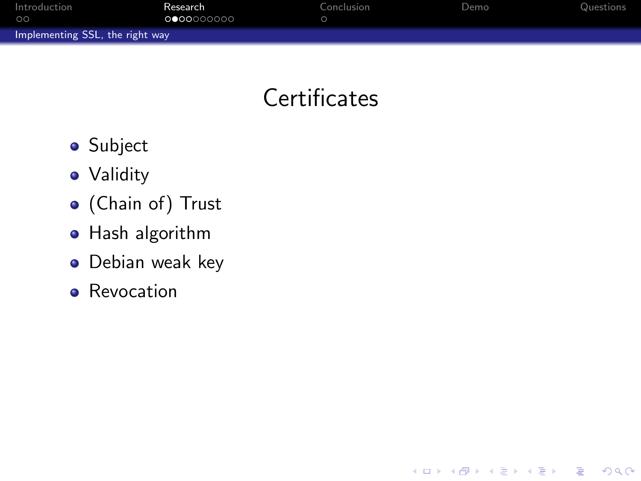| Introduction                    | Research            | Conclusion | Demo | Questions |
|---------------------------------|---------------------|------------|------|-----------|
| $\circ$                         | 0 0 0 0 0 0 0 0 0 0 |            |      |           |
| Implementing SSL, the right way |                     |            |      |           |

## **Certificates**

K ロ ▶ K @ ▶ K 할 > K 할 > 1 할 > 1 ⊙ Q Q ^

- **•** Subject
- Validity
- (Chain of) Trust
- **•** Hash algorithm
- **·** Debian weak key
- <span id="page-5-0"></span>**•** Revocation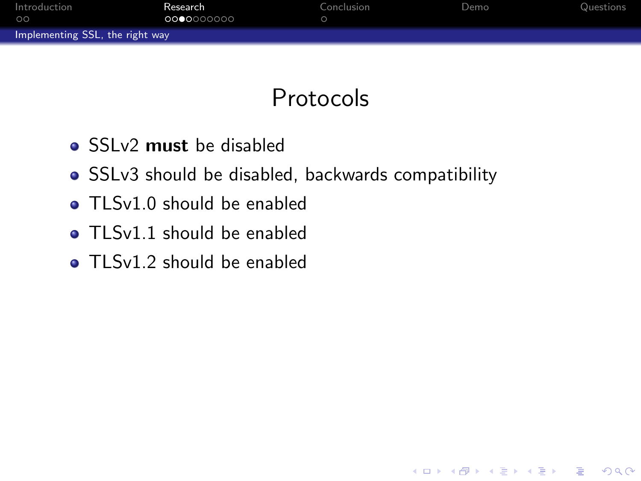| Introduction<br>ററ              | Research<br>0000000000 | Conclusion | Demo | Questions |
|---------------------------------|------------------------|------------|------|-----------|
| Implementing SSL, the right way |                        |            |      |           |

## Protocols

- SSLv2 must be disabled
- SSLv3 should be disabled, backwards compatibility
- TLSv1.0 should be enabled
- **TLSv1.1** should be enabled
- <span id="page-6-0"></span>**TLSv1.2 should be enabled**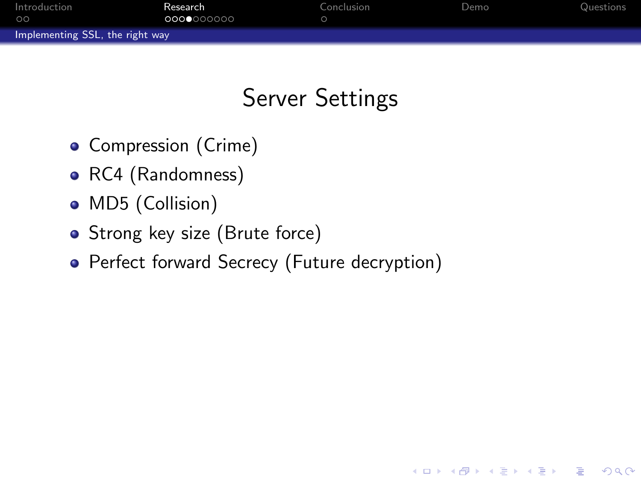| Introduction                    | Research   | Conclusion | Demo | Questions |
|---------------------------------|------------|------------|------|-----------|
| ററ                              | 0000000000 |            |      |           |
| Implementing SSL, the right way |            |            |      |           |

## Server Settings

**KORKA SERKER ORA** 

- Compression (Crime)
- RC4 (Randomness)
- MD5 (Collision)
- Strong key size (Brute force)
- <span id="page-7-0"></span>• Perfect forward Secrecy (Future decryption)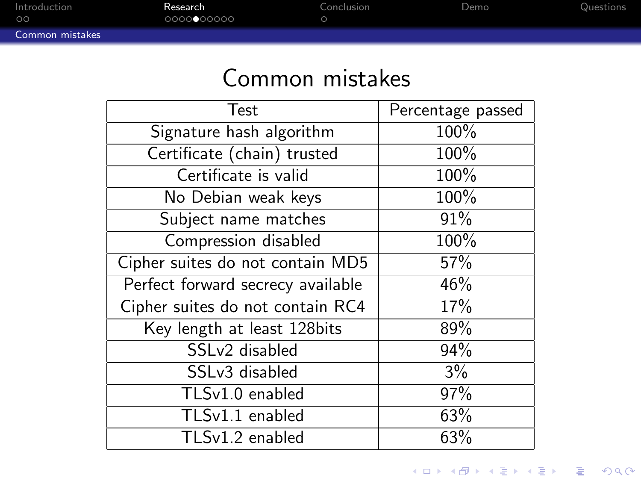| Introduction<br>$\circ$ | Research<br>00000000000 | Conclusion | Demo | Questions |
|-------------------------|-------------------------|------------|------|-----------|
| Common mistakes         |                         |            |      |           |

## Common mistakes

<span id="page-8-0"></span>

| <b>Test</b>                          | Percentage passed |
|--------------------------------------|-------------------|
| Signature hash algorithm             | 100%              |
| Certificate (chain) trusted          | 100%              |
| Certificate is valid                 | 100%              |
| No Debian weak keys                  | 100%              |
| Subject name matches                 | 91%               |
| Compression disabled                 | 100%              |
| Cipher suites do not contain MD5     | 57%               |
| Perfect forward secrecy available    | 46%               |
| Cipher suites do not contain RC4     | 17%               |
| Key length at least 128bits          | 89%               |
| SSLv2 disabled                       | 94%               |
| SSLv3 disabled                       | 3%                |
| $TLSv1.0$ enabled                    | 97%               |
| $\overline{\text{TLS}}$ v1.1 enabled | 63%               |
| TLSv1.2 enabled                      | 63%               |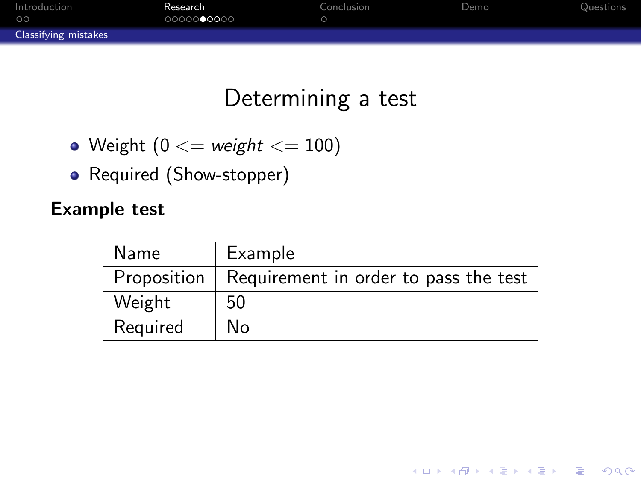| Introduction<br>$\circ$     | Research<br>0000000000 | Conclusion | Demo | Questions |
|-----------------------------|------------------------|------------|------|-----------|
| <b>Classifying mistakes</b> |                        |            |      |           |

## Determining a test

- Weight  $(0 \leq w \leq h$   $\leq 100)$
- Required (Show-stopper)

#### Example test

<span id="page-9-0"></span>

| Name        | Example                               |
|-------------|---------------------------------------|
| Proposition | Requirement in order to pass the test |
| Weight      | 50                                    |
| Required    | No                                    |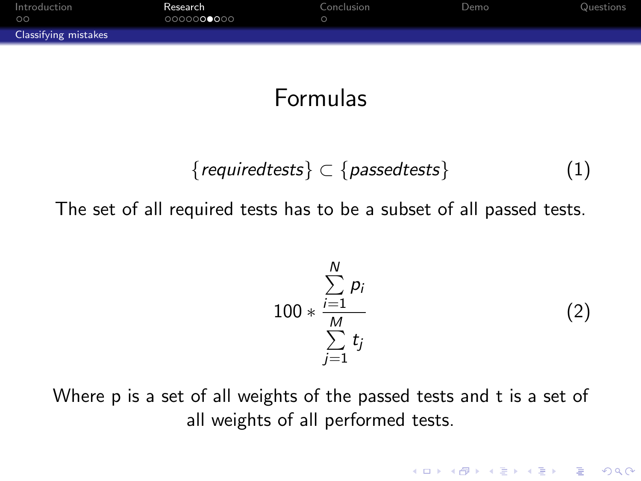| Introduction<br>$\circ$     | Research<br>0000000000 | Conclusion | Demo | Questions |
|-----------------------------|------------------------|------------|------|-----------|
| <b>Classifying mistakes</b> |                        |            |      |           |

## Formulas

$$
{\{ required tests\}} \subset {\{passed tests\}} \qquad (1)
$$

The set of all required tests has to be a subset of all passed tests.

$$
100 * \frac{\sum_{i=1}^{N} p_i}{\sum_{j=1}^{M} t_j}
$$
 (2)

<span id="page-10-0"></span>Where p is a set of all weights of the passed tests and t is a set of all weights of all performed tests.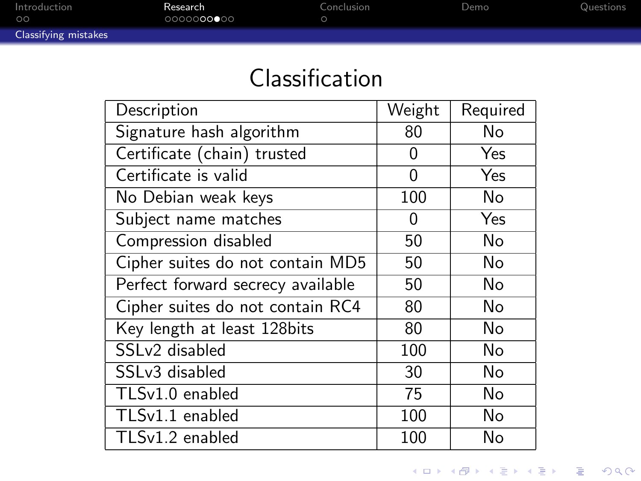| Introduction<br>ററ          | Research<br>0000000000 | Conclusion | Demo | Questions |
|-----------------------------|------------------------|------------|------|-----------|
| <b>Classifying mistakes</b> |                        |            |      |           |

## Classification

<span id="page-11-0"></span>

| Description                          | Weight | Required |
|--------------------------------------|--------|----------|
| Signature hash algorithm             | 80     | No       |
| Certificate (chain) trusted          | 0      | Yes      |
| Certificate is valid                 | 0      | Yes      |
| No Debian weak keys                  | 100    | No       |
| Subject name matches                 | 0      | Yes      |
| Compression disabled                 | 50     | No       |
| Cipher suites do not contain MD5     | 50     | No       |
| Perfect forward secrecy available    | 50     | No       |
| Cipher suites do not contain RC4     | 80     | No       |
| Key length at least 128bits          | 80     | No       |
| SSLv2 disabled                       | 100    | No       |
| SSLv3 disabled                       | 30     | No       |
| TLSv1.0 enabled                      | 75     | No       |
| $\overline{\text{TLS}}$ v1.1 enabled | 100    | No       |
| $\overline{TLS}v1.2$ enabled         | 100    | No       |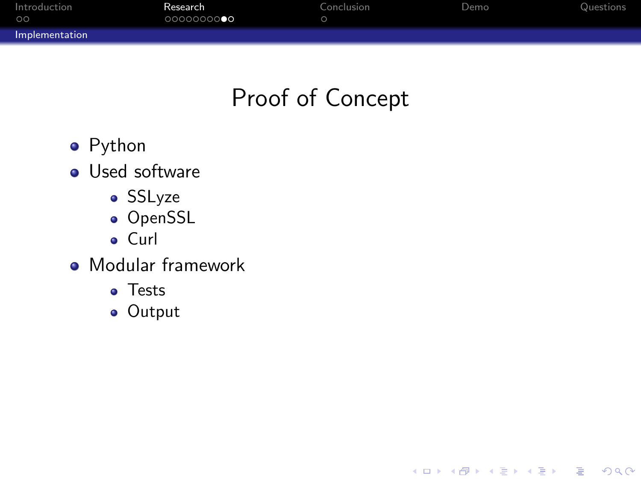| Introduction<br>ററ | Research<br>000000000 | Conclusion | Demo | Questions |
|--------------------|-----------------------|------------|------|-----------|
| Implementation     |                       |            |      |           |

## Proof of Concept

K ロ > K @ > K 할 > K 할 > 1 할 : ⊙ Q Q^

- **•** Python
- **•** Used software
	- SSLyze
	- OpenSSL
	- Curl
- <span id="page-12-0"></span>**• Modular framework** 
	- Tests
	- Output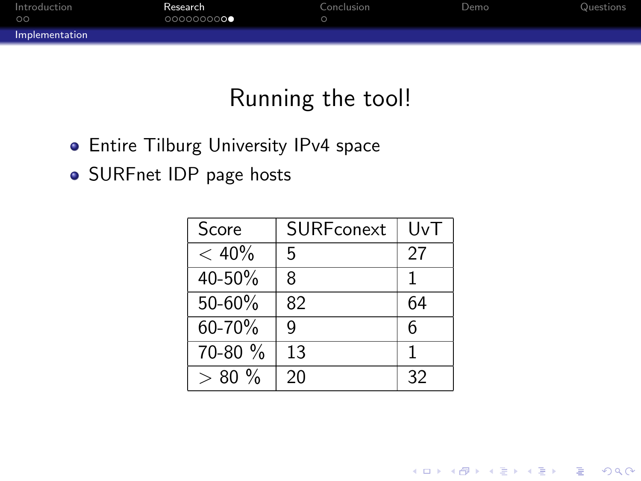| Introduction<br>$\circ$ | Research<br>000000000 | Conclusion | Demo | Questions |
|-------------------------|-----------------------|------------|------|-----------|
| Implementation          |                       |            |      |           |

## Running the tool!

- **Entire Tilburg University IPv4 space**
- <span id="page-13-0"></span>• SURFnet IDP page hosts

| Score    | SURFconext | UvT          |
|----------|------------|--------------|
| $< 40\%$ | 5          | 27           |
| 40-50%   | ጸ          | $\mathbf{1}$ |
| 50-60%   | 82         | 64           |
| 60-70%   | q          | 6            |
| 70-80 %  | 13         | 1            |
| $> 80\%$ | 20         | 32           |

**K ロ ▶ K @ ▶ K 할 X X 할 X 및 할 X X Q Q O \***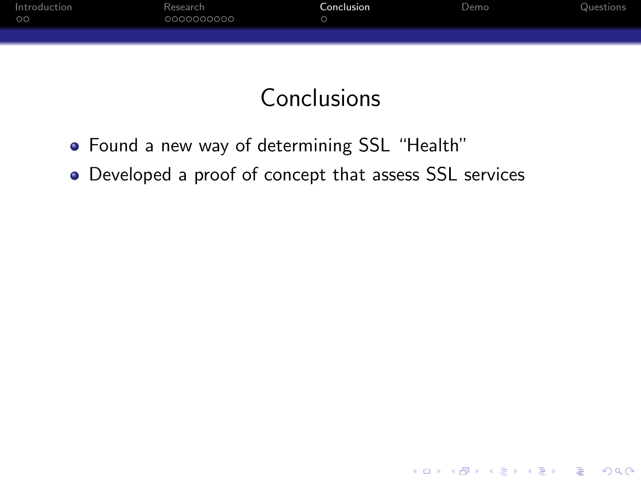| Introduction<br>$\circ$ | Research<br>0000000000 | Conclusion | Demo | Questions |
|-------------------------|------------------------|------------|------|-----------|
|                         |                        |            |      |           |

## Conclusions

K ロ ▶ K @ ▶ K 할 ▶ K 할 ▶ ... 할 → 9 Q @

- Found a new way of determining SSL "Health"
- <span id="page-14-0"></span>Developed a proof of concept that assess SSL services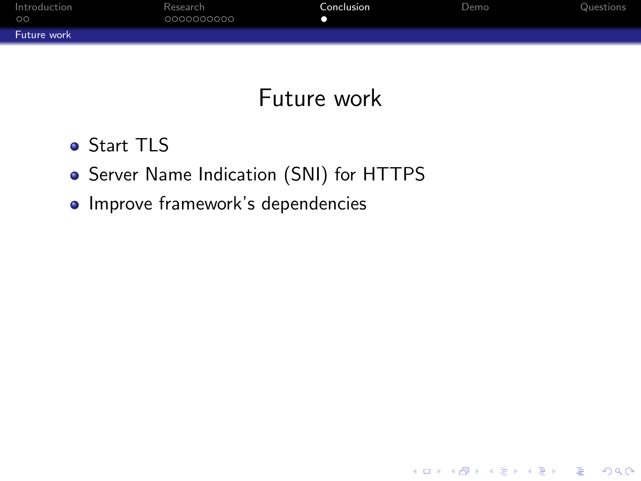| Introduction<br>00 | Research<br>0000000000 | Conclusion | Demo | Questions |
|--------------------|------------------------|------------|------|-----------|
| Future work        |                        |            |      |           |

## Future work

K ロ ▶ K @ ▶ K 할 ▶ K 할 ▶ | 할 | © 9 Q @

- **o** Start TLS
- **•** Server Name Indication (SNI) for HTTPS
- <span id="page-15-0"></span>• Improve framework's dependencies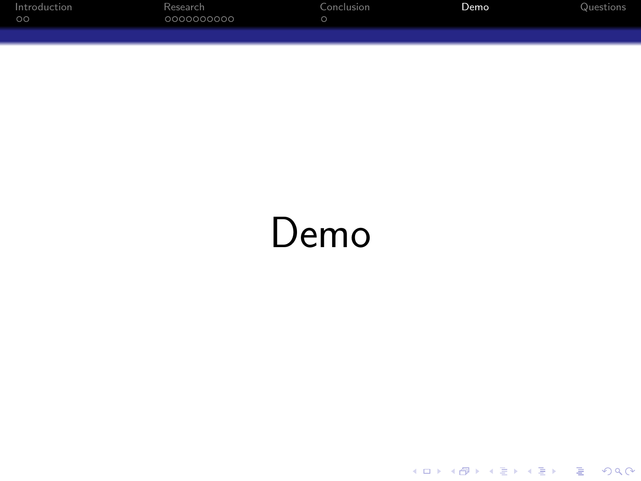| Introduction | Research   | Conclusion | Demo | Questions |
|--------------|------------|------------|------|-----------|
| $\circ$      | 0000000000 |            |      |           |
|              |            |            |      |           |

## <span id="page-16-0"></span>Demo

K ロ ▶ K @ ▶ K 할 ▶ K 할 ▶ ... 할 ... 9 Q Q ·